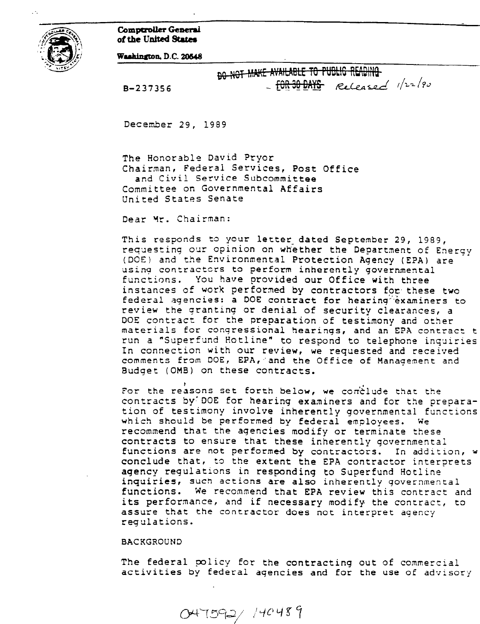Comptroller General of the United States



Washington, D.C. 20548

B-237356

| <del>do not make available to public reading.</del> |  |
|-----------------------------------------------------|--|
|                                                     |  |

December 29, 1989

The Honorable David Pryor Chairman, Federal Services, Post Office and Civil Service Subcommittee Committee on Governmental Affairs United States Senate

Dear Yr. Chairman:

This responds to your letter-dated September 29, 1989, requestinq our opinion on whether the Department of Energy (DOE) and the Environmental Protection Agency (EPA) are usinq contractors to perform inherently governmental functions. You have provided our Office with three instances of work performed by contractors for these two federal agencies: a DOE contract for hearinq"examiners to review the grantinq or denial of security clearances, a DOE contract for the preparation of testimony and other materials for conqressional hearings, and an EPA contract t run a "Superfund Hotline" to respond to telephone inquiries In connection with our review, we requested and received comments from DOE, EPA, 'and the Office of Manaqement and Budget (OMB) on these contracts.

For the reasons set forth below, we conclude that the contracts by'DOE for hearing examiners and for the preparation of testimony involve inherently governmental functions which should be performed by federal employees. We recommend that the aqencies modify or terminate these contracts to ensure that these inherently governmental functions are not performed by contractors. In addition, w conclude that, to the extent the EPA contractor interprets agency requlations in responding to Superfund Hotline inquiries, such actions are also inherently governmental functions. We recommend that EPA review this contract and its performance, and if necessary modify the contract, to assure that the contractor does not interpret agency regulations.

## BACKGROUND

The federal policy for the contracting out of commercial activities by federal aqencies and for the use of advisory

 $047592/140489$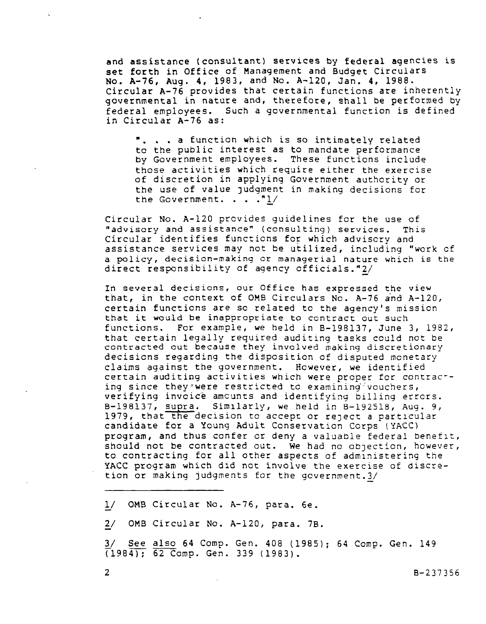and assistance (consultant) services by federal agencies is set forth in Office of Management and Budget Circulars No. A-76, Aug. 4, 1983, and No. A-120, Jan. 4, 1988. Circular A-76 provides that certain functions are inherently governmental in nature and, therefore, shall be performed by federal employees. Such a governmental function is defined in Circular A-76 as:

". . . a function which is so intimately relat to the public interest as to mandate performance by Government emplOyeeS. These functions include those activities which require either the exercise of discretion in applying Government authority or the use of value Judgment in making decisions for the Government. . . ."L/

Circular No. A-120 prcvides guidelines for the use of "advisory and assistance" (consulting) services. This Circular identifies functions for which adviscry and assistance services may not be utilized, including "work cf a policy, decision-making or managerial nature which is the direct responsibility of agency officials."2/

In several decisions, our Office has expressed the view that, in the context of OMB Circulars No. A-76 and A-120, certain functions are so related to the agency's mission that it would be inappropriate to contract out such functions. For example, we held in B-198137, June 3, 1982, that certain legally required auditing tasks could not be contracted out because they involved making discretionary decisions regarding the disposition of disputed monetary claims against the government. Hcwever, we identified certain auditing activities which were proper for contrac' ing since they were restricted to examining vouchers, verifying invoice amcunts and identifying billing errcrs. B-198137, supra. Similarly, we held in B-192518, Aug. 9, 1979, that the decision to accept or reject a particular candidate for a Young Adult Conservation Corps (YACC) program, and thus confer or deny a valuable federal benefit, should not be contracted out. We had no objection, however, to contracting for all other aspects of admlnistering the YACC program which did not involve the exercise of discretion or making judgments for the government.  $3/$ 

L/ OMB Circular No. A-76, para. 6e.

2/ OMB Circular No. A-120, para. 7B.

L/ See also 64 Comp. Gen. 408 (1985); 64 Comp. Gen. 149  $(1984)$ ; 62 Comp. Gen. 339 (1983).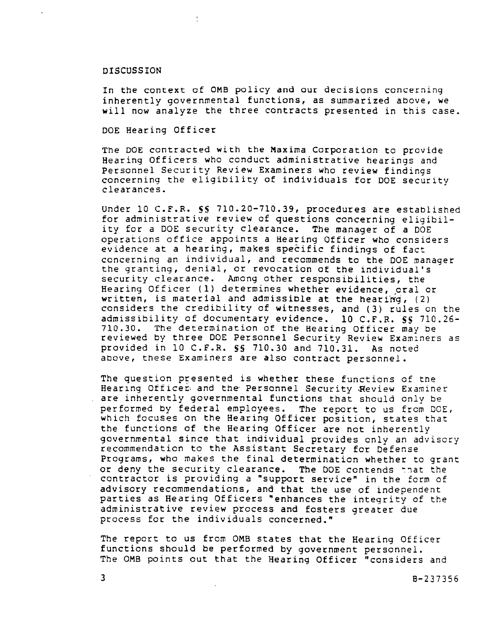## DISCUSSION

In the context of OMB policy and our decisions concerning inherently governmental functions, as summarized above, we will now analyze the three contracts presented in this case.

DOE Hearing Officer

The DOE contracted with the Maxima Corporation to provide Hearing Officers who conduct administrative hearings and Personnel Security Review Examiners who review findings concerning the eligibility of individuals for DOE security clearances.

Under 10 C.F.R. SS 710.20-710.39, procedures ate established for administrative review of questions concerning eligibility for a DOE security clearance. The manager of a DOE operations office appoints a Hearing Officer who considers evidence at a hearing, makes specific findings of fact concerning an individual, and recommends to the DOE manager the granting, denial, or revocation of the individual's security clearance. Among other responsibilities, the Hearing Officer (1) determines whether evidence, oral or written, is material and admissible at the hearing,  $(2)$ considers the credibility of witnesses, and (3) rules on the admissibility of documentary evidence. 10 C.F.R. 5s 710.26- 710.30. The determination of the Hearing Officer may be reviewed by three DOE Personnel Security Review Examiners as provided in 10 C.F.R. 55 710.30 and 710.31. As noted above, these Examiners are also contract personnel.

The question presented is whether these functions of the Hearing Officer; and the Personnel Security Review Examiner are inherently governmental functions that should only be performed by federal employees. The report to us frcm DOE, which focuses on the Hearing Officer position, states that the functions of the Hearing Officer are not inherently governmental since that individual provides only an advisory recommendaticn to the Assistant Secretary for Defense Programs, who makes the final determination whether to grant or deny the security clearance. The DOE contends that the contractor is providing a "support service" in the form of advisory recommendations, and that the use of independent parties as Hearing Officers \*enhances the integrity of the administrative review process and fosters greater due process for the individuals concerned."

The report to us from OMB states that the Hearing Officer functions should be performed by government personnel. The OMB points out that the Hearing Officer "considers and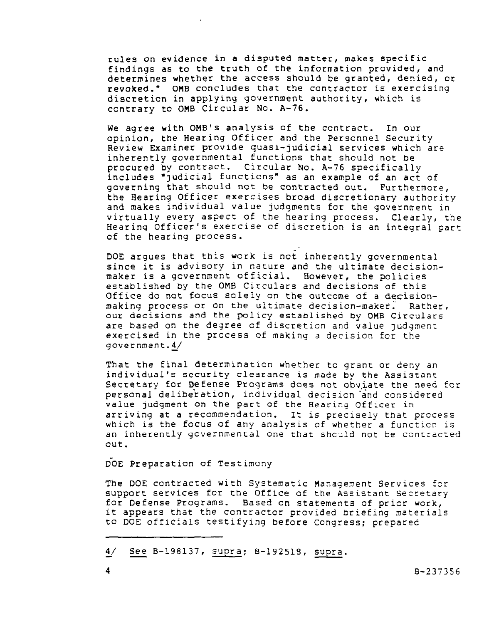rules on evidence in a disputed matter, makes specific findings as to the truth of the information provided, and determines whether the access should be granted, denied, or revoked." OHB concludes that the contractor is exercising discretion in applying government authority, which is contrary to OMB Circular No. A-76.

We agree with OMB'S analysis of the contract. In our opinion, the Hearing Officer and the Personnel Security Review Examiner provide quasi-judicial services which are inherently governmental functions that should not be procured by contract. Circular No. A-76 specifically includes "Judicial functions" as an example of an act of governing that should not be contracted out. Furthermore, the Hearing Officer exercises broad discretionary authority and makes individual value judgments for the government in virtually every aspect of the hearing process. Clearly, the Hearing Officer's exercise of discretion is an integral part of the hearing process.

DOE argues that this work is not inherently governmental since it is advisory in nature and the ultimate decisionmaker is a government official. However, the policies established by the OMB Circulars and decisions of this Office do not focus solely on the outcome of a decisionmaking process or on the ultimate decision-maker: Rather, our decisions and the policy established by OMB Circulars are based on the degree of discretion and value judgment exercised in the process of making a decision for the government. $4/$ 

That the final determination whether to grant or deny an individual's security clearance is made by the Assistant Secretary for Defense Programs does not obviate the need for personal delibe'ration, individual decisicn 'and considered value judgment on the part of the Hearing Officer in arriving at a recommendation. It is precisely that process which is the focus of any analysis of whether a functicn is an inherently governmental one that shculd not be contracted out.

DOE Preparation of Testimony

The DOE contracted with Systematic Management Services fcr support services for the Office of the Assistant Secretary for Defense Programs. Based on statements of prier work, it appears that the contractor provided briefing materials to DOE officials testifying before Congress; prepared

<sup>&</sup>amp;/ See B-198137, supra; B-192518, supra.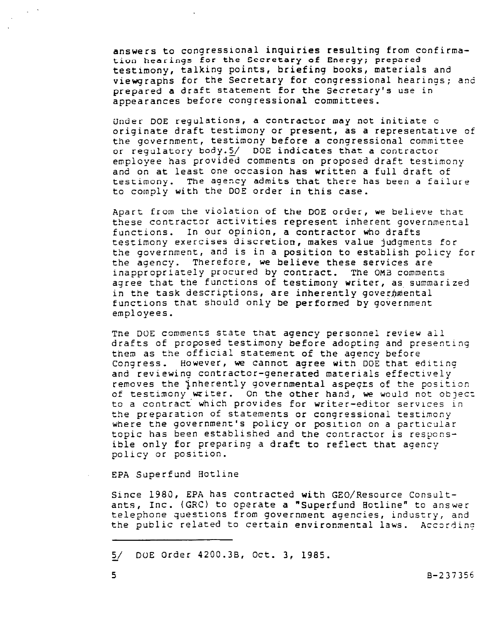answers to congressional inquiries resulting from confirmation hearings for the Secretary of Energy: prepared testimony, talking points, briefing books, materials and Viewgraphs for the Secretary for congressional hearings; and prepared a draft statement for the Secretary's use in appearances before congressional committees.

Under DOE regulations, a contractor may not initiate o originate draft testimony or present, as a representative of the government, testimony before a congressional committee or regulatory body.5/ DOE indicates that a contractor employee has provided comments on proposed draft testimony and on at least one occasion has written a full draft of testimony. The agency admits that there has been a failure to comply with the DOE order in this case.

Apart from the Violation of the DOE order, we believe that these contractor activities represent inherent governmental functions. In our opinion, a contractor who drafts testimony exercises discretion, makes value judgments for the government, and is in a position to establish policy for the agency. Therefore, we believe these services are inappropriately procured by contract. The OMB comments agree that the functions of testimony writer, as summarized in the task descriptions, are inherently governmental functions that should only be performed by government employees.

Tne DOE comments State that agency personnel review all drafts of proposed testimony before adopting and presenting them as the official statement of the agency before Congress. However, we Cannot agree with DOE that editing and reviewing contractor-generated materials effectively removes the inherently governmental aspects of the position of testimony writer. On the other hand, we would not objet: to a contract which provides for writer-editor secvlces in the preparation of statements or congressional testimony where the government's policy or position on a particular topic has been established and the contractor is responsible only for preparing a draft to reflect that agency policy or position.

EPA Superfund Hotline

Since 1980, EPA has contracted with GEO/Resource Consultants, Inc. (GRC) to operate a "Superfund Aotline" to answer telephone questions from government agencies, industry, and the public related to certain environmental laws. According

5/ DOE Order 4200.3B, Oct. 3, 1985.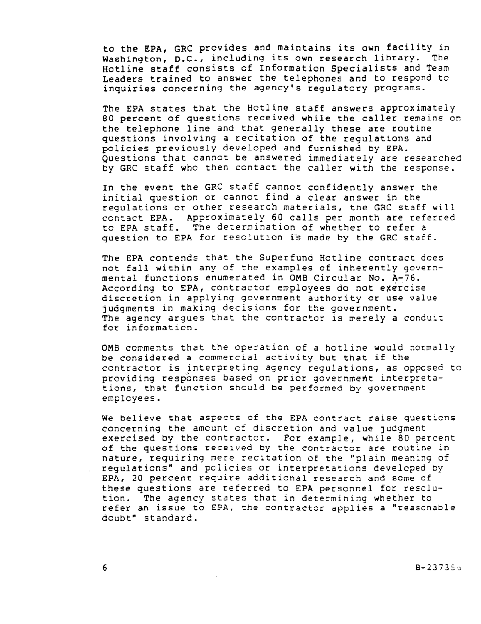to the EPA, GRC provides and maintains its own facility in Washington, D.C., including its own research library. The Hotline Staff consists of Information Specialists and Team Leaders trained to answer the telephones and to respond to inquiries concerning the agency's regulatory programs.

The EPA states that the Hotline staff answers approximately 80 percent of questions received while the caller remains on the telephone line and that generally these are routine questions involving a recitation of the regulations and policies previously developed and furnished by EPA. Questions that cannot be answered immediately are researched by GRC staff whc then contact the caller with the response.

In the event the GRC Staff cannot confidently answer the initial question or cannot find a clear answer in the regulations or other research materials, the GRC staff will contact EPA. Approximately 60 calls per month are referred to EPA staff. The determination of whether to refer a question to EPA for resclution iS made by the GRC staff.

The EPA contends that the Superfund Hotline contract dces not fall within any of the examples of inherently governmental functions enumerated in OMB Circular No. A-76. According to EPA, contractor employees do not exercise discretion in applying government authority or use value judgments in making decisions for the government. The agency argues that the contractor is merely a conduit for information.

OMB comments that the operation of a hotline would normally be considered a commercial activity but that if the contractor is interpreting agency regulations, as oppcsed to providing responses based on prior government interpretations, that function should be performed by government employees.

We believe that aspects of the EPA contract raise questicns concerning the amcunt cf discretion and value judgment exercised by the contractor. For example, while 80 percent of the questions received by the contractor are routine in nature, requiring mere recitation of the "plain meaning of regulations" and policies or interpretations developed by EPA, 20 percent require additional research and scme of these questions are referred to EPA personnel for resclution. The agency states that in determining whether to refer an issue to EPA, the contractor applies a "reasonable doubt" standard.